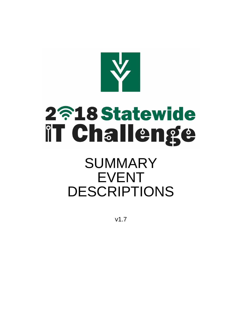# 2718 Statewide **IT Challenge**

## SUMMARY EVENT DESCRIPTIONS

v1.7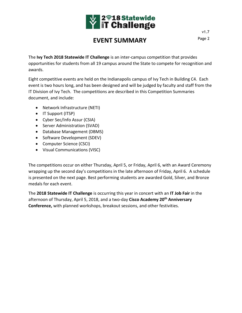

## **EVENT SUMMARY** Page 2

The **Ivy Tech 2018 Statewide IT Challenge** is an inter-campus competition that provides opportunities for students from all 19 campus around the State to compete for recognition and awards.

Eight competitive events are held on the Indianapolis campus of Ivy Tech in Building C4. Each event is two hours long, and has been designed and will be judged by faculty and staff from the IT Division of Ivy Tech. The competitions are described in this Competition Summaries document, and include:

- Network Infrastructure (NETI)
- IT Support (ITSP)
- Cyber Sec/Info Assur (CSIA)
- Server Administration (SVAD)
- Database Management (DBMS)
- Software Development (SDEV)
- Computer Science (CSCI)
- Visual Communications (VISC)

The competitions occur on either Thursday, April 5, or Friday, April 6, with an Award Ceremony wrapping up the second day's competitions in the late afternoon of Friday, April 6. A schedule is presented on the next page. Best performing students are awarded Gold, Silver, and Bronze medals for each event.

The **2018 Statewide IT Challenge** is occurring this year in concert with an **IT Job Fair** in the afternoon of Thursday, April 5, 2018, and a two-day **Cisco Academy 20th Anniversary Conference,** with planned workshops, breakout sessions, and other festivities.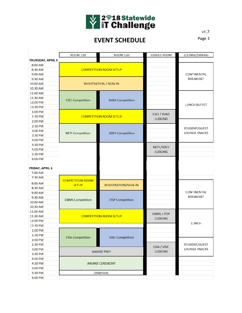

## **EVENT SCHEDULE**

|                          | <b>ROOM 118</b>         | <b>ROOM 120</b>               | <b>JUDGES ROOM</b> | LOUNGE/DINING        |
|--------------------------|-------------------------|-------------------------------|--------------------|----------------------|
| <b>THURSDAY, APRIL 5</b> |                         |                               |                    |                      |
| 8:00 AM                  |                         |                               |                    |                      |
| 8:30 AM                  |                         | <b>COMPETITION ROOM SETUP</b> |                    |                      |
| 9:00 AM                  |                         |                               |                    | <b>CONTINENTAL</b>   |
| 9:30 AM                  |                         |                               |                    | <b>BREAKFAST</b>     |
| 10:00 AM                 |                         | <b>REGISTRATION / SIGN-IN</b> |                    |                      |
| 10:30 AM                 |                         |                               |                    |                      |
| 11:00 AM                 |                         |                               |                    |                      |
| 11:30 AM                 |                         | <b>SVAD Competition</b>       |                    |                      |
| 12:00 PM                 | <b>CSCI Competition</b> |                               |                    |                      |
| 12:30 PM                 |                         |                               |                    | <b>LUNCH BUFFET</b>  |
| 1:00 PM                  |                         |                               |                    |                      |
| 1:30 PM                  |                         | <b>COMPETITION ROOM SETUP</b> | <b>CSCI / SVAD</b> |                      |
| 2:00 PM                  |                         |                               | <b>JUDGING</b>     |                      |
| 2:30 PM                  |                         |                               |                    |                      |
| 3:00 PM                  |                         | <b>SDEV Competition</b>       |                    | STUDENT/GUEST        |
| 3:30 PM                  | <b>NETI Competition</b> |                               |                    | <b>LOUNGE SNACKS</b> |
| 4:00 PM                  |                         |                               |                    |                      |
| 4:30 PM                  |                         |                               |                    |                      |
| 5:00 PM                  |                         |                               | <b>NETI</b> /SDEV  |                      |
| 5:30 PM                  |                         |                               | <b>JUDGING</b>     |                      |
| 6:00 PM                  |                         |                               |                    |                      |
|                          |                         |                               |                    |                      |
| <b>FRIDAY, APRIL 6</b>   |                         |                               |                    |                      |
| 7:00 AM                  |                         |                               |                    |                      |
| 7:30 AM                  |                         |                               |                    |                      |
| 8:00 AM                  | <b>COMPETITION ROOM</b> |                               |                    |                      |
| 8:30 AM                  | <b>SETUP</b>            | <b>REGISTRATION/SIGN-IN</b>   |                    |                      |
| 9:00 AM                  |                         |                               |                    | <b>CONTINENTAL</b>   |
| 9:30 AM                  |                         |                               |                    | <b>BREAKFAST</b>     |
| 10:00 AM                 | <b>DBMS</b> Competition | <b>ITSP Competition</b>       |                    |                      |
| 10:30 AM                 |                         |                               |                    |                      |
| 11:00 AM                 |                         |                               |                    |                      |
| 11:30 AM                 |                         | <b>COMPETITION ROOM SETUP</b> | <b>DBMS / ITSP</b> |                      |
| 12:00 PM                 |                         |                               | <b>JUDGING</b>     |                      |
| 12:30 PM                 |                         |                               |                    | <b>LUNCH</b>         |
| 1:00 PM                  |                         |                               |                    |                      |
| 1:30 PM                  |                         |                               |                    |                      |
| 2:00 PM                  | <b>CSIA Competition</b> | <b>VISC Competition</b>       |                    |                      |
| 2:30 PM                  |                         |                               |                    | STUDENT/GUEST        |
| 3:00 PM                  | <b>AWARD PREP</b>       |                               | CSIA / VISC        | <b>LOUNGE SNACKS</b> |
| 3:30 PM                  |                         |                               | <b>JUDGING</b>     |                      |
| 4:00 PM                  |                         |                               |                    |                      |
| 4:30 PM                  | <b>AWARD CEREMONY</b>   |                               |                    |                      |
| 5:00 PM                  |                         |                               |                    |                      |
| 5:30 PM                  |                         | <b>DISMISSAL</b>              |                    |                      |
| 6:00 PM                  |                         |                               |                    |                      |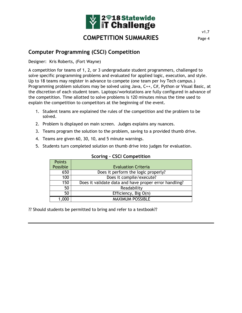

#### **Computer Programming (CSCI) Competition**

Designer: Kris Roberts, (Fort Wayne)

A competition for teams of 1, 2, or 3 undergraduate student programmers, challenged to solve specific programming problems and evaluated for applied logic, execution, and style. Up to 18 teams may register in advance to compete (one team per Ivy Tech campus.) Programming problem solutions may be solved using Java, C++, C#, Python or Visual Basic, at the discretion of each student team. Laptops/workstations are fully configured in advance of the competition. Time allotted to solve problems is 120 minutes minus the time used to explain the competition to competitors at the beginning of the event.

- 1. Student teams are explained the rules of the competition and the problem to be solved.
- 2. Problem is displayed on main screen. Judges explains any nuances.
- 3. Teams program the solution to the problem, saving to a provided thumb drive.
- 4. Teams are given 60, 30, 10, and 5 minute warnings.
- 5. Students turn completed solution on thumb drive into judges for evaluation.

| <b>Points</b> |                                                       |
|---------------|-------------------------------------------------------|
| Possible      | <b>Evaluation Criteria</b>                            |
| 650           | Does it perform the logic properly?                   |
| 100           | Does it compile/execute?                              |
| 150           | Does it validate data and have proper error handling? |
| 50            | Readability                                           |
| 50            | Efficiency, Big O(n)                                  |
|               | <b>MAXIMUM POSSIBLE</b>                               |

#### **Scoring – CSCI Competition**

?? Should students be permitted to bring and refer to a textbook??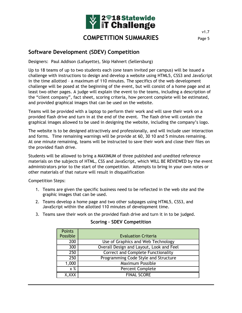

#### **Software Development (SDEV) Competition**

Designers: Paul Addison (Lafayette), Skip Hahnert (Sellersburg)

Up to 18 teams of up to two students each (one team invited per campus) will be issued a challenge with instructions to design and develop a website using HTML5, CSS3 and JavaScript in the time allotted – a maximum of 110 minutes. The specifics of the web development challenge will be posed at the beginning of the event, but will consist of a home page and at least two other pages. A judge will explain the event to the teams, including a description of the "client company", fact sheet, scoring criteria, how percent complete will be estimated, and provided graphical images that can be used on the website.

Teams will be provided with a laptop to perform their work and will save their work on a provided flash drive and turn in at the end of the event. The flash drive will contain the graphical images allowed to be used in designing the website, including the company's logo.

The website is to be designed attractively and professionally, and will include user interaction and forms. Time remaining warnings will be provide at 60, 30 10 and 5 minutes remaining. At one minute remaining, teams will be instructed to save their work and close their files on the provided flash drive.

Students will be allowed to bring a MAXIMUM of three published and unedited reference materials on the subjects of HTML, CSS and JavaScript, which WILL BE REVIEWED by the event administrators prior to the start of the competition. Attempts to bring in your own notes or other materials of that nature will result in disqualification

Competition Steps:

- 1. Teams are given the specific business need to be reflected in the web site and the graphic images that can be used.
- 2. Teams develop a home page and two other subpages using HTML5, CSS3, and JavaScript within the allotted 110 minutes of development time.
- 3. Teams save their work on the provided flash drive and turn it in to be judged.

**Scoring – SDEV Competition**

| <b>Points</b> |                                           |
|---------------|-------------------------------------------|
| Possible      | <b>Evaluation Criteria</b>                |
| 200           | Use of Graphics and Web Technology        |
| 300           | Overall Design and Layout, Look and Feel  |
| 250           | <b>Correct and Complete Functionality</b> |
| 250           | Programming Code Style and Structure      |
| 1,000         | <b>Maximum Possible</b>                   |
| x %           | Percent Complete                          |
| X,XXX         | <b>FINAL SCORE</b>                        |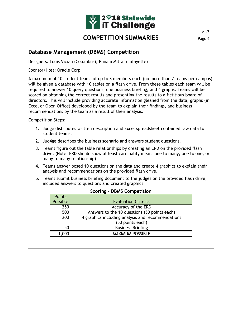

#### **Database Management (DBMS) Competition**

Designers: Louis Vician (Columbus), Punam Mittal (Lafayette)

Sponsor/Host: Oracle Corp.

A maximum of 10 student teams of up to 3 members each (no more than 2 teams per campus) will be given a database with 10 tables on a flash drive. From these tables each team will be required to answer 10 query questions, one business briefing, and 4 graphs. Teams will be scored on obtaining the correct results and presenting the results to a fictitious board of directors. This will include providing accurate information gleaned from the data, graphs (in Excel or Open Office) developed by the team to explain their findings, and business recommendations by the team as a result of their analysis.

Competition Steps:

- 1. Judge distributes written description and Excel spreadsheet contained raw data to student teams.
- 2. Jud4ge describes the business scenario and answers student questions.
- 3. Teams figure out the table relationships by creating an ERD on the provided flash drive. (Note: ERD should show at least cardinality means one to many, one to one, or many to many relationship)
- 4. Teams answer posed 10 questions on the data and create 4 graphics to explain their analysis and recommendations on the provided flash drive.
- 5. Teams submit business briefing document to the judges on the provided flash drive, included answers to questions and created graphics.

| 5551116<br><b>PERIO CONFECTED</b> |                                                   |  |
|-----------------------------------|---------------------------------------------------|--|
| <b>Points</b>                     |                                                   |  |
| Possible                          | <b>Evaluation Criteria</b>                        |  |
| 250                               | Accuracy of the ERD                               |  |
| 500                               | Answers to the 10 questions (50 points each)      |  |
| 200                               | 4 graphics including analysis and recommendations |  |
|                                   | (50 points each)                                  |  |
| 50                                | <b>Business Briefing</b>                          |  |
| 000                               | MAXIMUM POSSIBLE                                  |  |

#### **Scoring – DBMS Competition**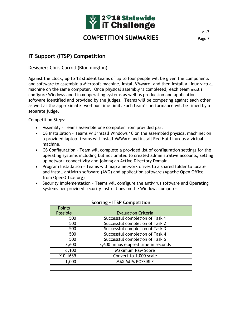

### **IT Support (ITSP) Competition**

Designer: Chris Carroll (Bloomington)

Against the clock, up to 18 student teams of up to four people will be given the components and software to assemble a Microsoft machine, install VMware, and then install a Linux virtual machine on the same computer. Once physical assembly is completed, each team must i configure Windows and Linux operating systems as well as production and application software identified and provided by the judges. Teams will be competing against each other as well as the approximate two-hour time limit. Each team's performance will be timed by a separate judge.

Competition Steps:

- Assembly Teams assemble one computer from provided part
- OS Installation Teams will install Windows 10 on the assembled physical machine; on a provided laptop, teams will install VMWare and install Red Hat Linux as a virtual machine.
- OS Configuration Team will complete a provided list of configuration settings for the operating systems including but not limited to created administrative accounts, setting up network connectivity and joining an Active Directory Domain.
- Program Installation Teams will map a network drives to a shared folder to locate and install antivirus software (AVG) and application software (Apache Open Office from OpenOffice.org)
- Security Implementation Teams will configure the antivirus software and Operating Systems per provided security instructions on the Windows computer.

| <b>Points</b> |                                     |
|---------------|-------------------------------------|
| Possible      | <b>Evaluation Criteria</b>          |
| 500           | Successful completion of Task 1     |
| 500           | Successful completion of Task 2     |
| 500           | Successful completion of Task 3     |
| 500           | Successful completion of Task 4     |
| 500           | Successful completion of Task 5     |
| 3,600         | 3,600 minus elapsed time in seconds |
| 6,100         | <b>Maximum Raw Score</b>            |
| X 0.1639      | Convert to 1,000 scale              |
| 1,000         | <b>MAXIMUM POSSIBLE</b>             |
|               |                                     |

#### **Scoring – ITSP Competition**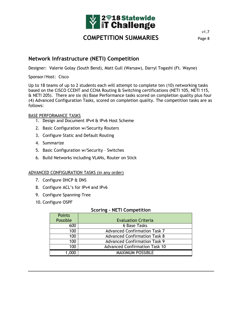

v1.7

#### **Network Infrastructure (NETI) Competition**

Designer: Valerie Golay (South Bend), Matt Gull (Warsaw), Darryl Togashi (Ft. Wayne)

Sponsor/Host: Cisco

Up to 18 teams of up to 2 students each will attempt to complete ten (10) networking tasks based on the CISCO CCENT and CCNA Routing & Switching certifications (NETI 105, NETI 115, & NETI 205). There are six (6) Base Performance tasks scored on completion quality plus four (4) Advanced Configuration Tasks, scored on completion quality. The competition tasks are as follows:

#### BASE PERFORMANCE TASKS

- 1. Design and Document IPv4 & IPv6 Host Scheme
- 2. Basic Configuration w/Security Routers
- 3. Configure Static and Default Routing
- 4. Summarize
- 5. Basic Configuration w/Security Switches
- 6. Build Networks including VLANs, Router on Stick

#### ADVANCED CONFIGURATION TASKS (in any order)

- 7. Configure DHCP & DNS
- 8. Configure ACL's for IPv4 and IPv6
- 9. Configure Spanning-Tree
- 10. Configure OSPF

#### **Scoring – NETI Competition**

| <b>Points</b><br>Possible | <b>Evaluation Criteria</b>           |
|---------------------------|--------------------------------------|
| 600                       | 6 Base Tasks                         |
| 100                       | <b>Advanced Confirmation Task 7</b>  |
| 100                       | <b>Advanced Confirmation Task 8</b>  |
| 100                       | <b>Advanced Confirmation Task 9</b>  |
| 100                       | <b>Advanced Confirmation Task 10</b> |
| 1,000                     | <b>MAXIMUM POSSIBLE</b>              |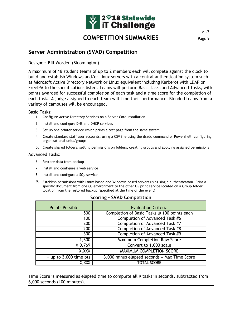

#### **Server Administration (SVAD) Competition**

Designer: Bill Worden (Bloomington)

A maximum of 18 student teams of up to 2 members each will compete against the clock to build and establish Windows and/or Linux servers with a central authentication system such as Microsoft Active Directory Network or Linux equivalent including Kerberos with LDAP or FreeIPA to the specifications listed. Teams will perform Basic Tasks and Advanced Tasks, with points awarded for successful completion of each task and a time score for the completion of each task. A judge assigned to each team will time their performance. Blended teams from a variety of campuses will be encouraged.

Basic Tasks:

- 1. Configure Active Directory Services on a Server Core Installation
- 2. Install and configure DNS and DHCP services
- 3. Set up one printer service which prints a test page from the same system
- 4. Create standard staff user accounts, using a CSV file using the dsadd command or Powershell, configuring organizational units/groups
- 5. Create shared folders, setting permissions on folders, creating groups and applying assigned permissions

#### Advanced Tasks:

- 6. Restore data from backup
- 7. Install and configure a web service
- 8. Install and configure a SQL service
- 9. Establish permissions with Linux-based and Windows-based servers using single authentication. Print a specific document from one OS environment to the other OS print service located on a Group folder location from the restored backup (specified at the time of the event)

| <b>Points Possible</b>   | <b>Evaluation Criteria</b>                   |
|--------------------------|----------------------------------------------|
| 500                      | Completion of Basic Tasks @ 100 points each  |
| 100                      | Completion of Advanced Task #6               |
| 200                      | Completion of Advanced Task #7               |
| 200                      | Completion of Advanced Task #8               |
| 300                      | Completion of Advanced Task #9               |
| 1,300                    | <b>Maximum Completion Raw Score</b>          |
| X 0.769                  | Convert to 1,000 scale                       |
| X, XXX                   | MAXIMUM COMPLETION SCORE                     |
| $+$ up to 3,000 time pts | 3,000 minus elapsed seconds = Max Time Score |
| X,XXX                    | <b>TOTAL SCORE</b>                           |

#### **Scoring – SVAD Competition**

Time Score is measured as elapsed time to complete all 9 tasks in seconds, subtracted from 6,000 seconds (100 minutes).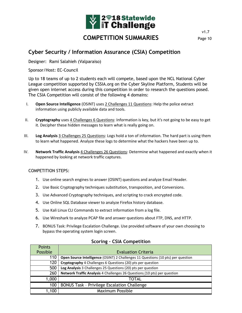

#### **Cyber Security / Information Assurance (CSIA) Competition**

Designer: Rami Salahieh (Valparaiso)

Sponsor/Host: EC-Council

Up to 18 teams of up to 2 students each will compete, based upon the NCL National Cyber League competition supported by CSSIA.org on the Cyber Skyline Platform, Students will be given open internet access during this competition in order to research the questions posed. The CSIA Competition will consist of the following 4 domains:

- I. **Open Source Intelligence** (OSINT) uses 2 Challenges 11 Questions: Help the police extract information using publicly available data and tools.
- II. **Cryptography** uses 4 Challenges 6 Questions: Information is key, but it's not going to be easy to get it. Decipher these hidden messages to learn what is really going on.
- III. **Log Analysis** 3 Challenges 25 Questions: Logs hold a ton of information. The hard part is using them to learn what happened. Analyze these logs to determine what the hackers have been up to.
- IV. **Network Traffic Analysis** 4 Challenges 26 Questions: Determine what happened and exactly when it happened by looking at network traffic captures.

#### COMPETITION STEPS:

- 1. Use online search engines to answer (OSINT) questions and analyze Email Header.
- 2. Use Basic Cryptography techniques substitution, transposition, and Conversions.
- 3. Use Advanced Cryptography techniques, and scripting to crack encrypted code.
- 4. Use Online SQL Database viewer to analyze Firefox history database.
- 5. Use Kali Linux CLI Commands to extract information from a log file.
- 6. Use Wireshark to analyze PCAP file and answer questions about FTP, DNS, and HTTP.
- 7. BONUS Task: Privilege Escalation Challenge. Use provided software of your own choosing to bypass the operating system login screen.

| <b>Points</b> |                                                                                  |
|---------------|----------------------------------------------------------------------------------|
| Possible      | <b>Evaluation Criteria</b>                                                       |
| 110           | Open Source Intelligence (OSINT) 2 Challenges 11 Questions (10 pts) per question |
| 120           | Cryptography 4 Challenges 6 Questions (20) pts per question                      |
| 500           | Log Analysis 3 Challenges 25 Questions (20) pts per question                     |
| 260           | Network Traffic Analysis 4 Challenges 26 Questions (10 pts) per question         |
| 1,000         | TOTAL                                                                            |
| 100           | <b>BONUS Task - Privilege Escalation Challenge</b>                               |
| 1,100         | <b>Maximum Possible</b>                                                          |

#### **Scoring – CSIA Competition**